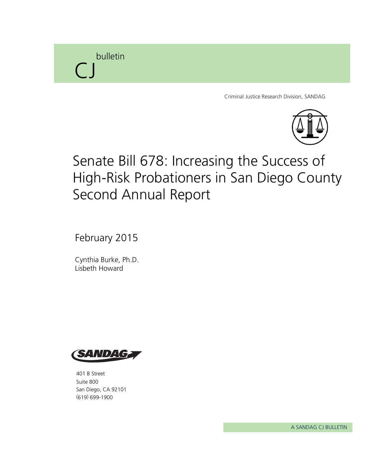

Criminal Justice Research Division, SANDAG



# Senate Bill 678: Increasing the Success of High-Risk Probationers in San Diego County Second Annual Report

February 2015

Cynthia Burke, Ph.D. Lisbeth Howard



401 B Street Suite 800 San Diego, CA 92101 (619) 699-1900

A SANDAG CJ BULLETIN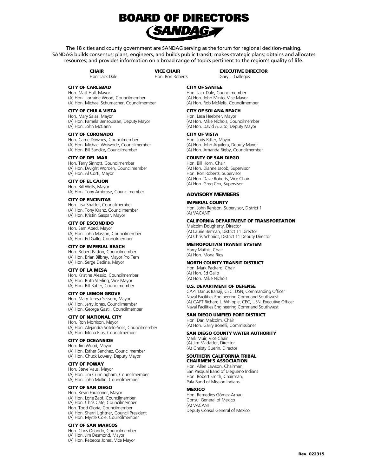

The 18 cities and county government are SANDAG serving as the forum for regional decision-making. SANDAG builds consensus; plans, engineers, and builds public transit; makes strategic plans; obtains and allocates resources; and provides information on a broad range of topics pertinent to the region's quality of life.

> **CHAIR** Hon. Jack Dale

VICE CHAIR Hon. Ron Roberts EXECUTIVE DIRECTOR Gary L. Gallegos

CITY OF CARLSBAD

Hon. Matt Hall, Mayor (A) Hon. Lorraine Wood, Councilmember (A) Hon. Michael Schumacher, Councilmember

#### CITY OF CHULA VISTA

Hon. Mary Salas, Mayor (A) Hon. Pamela Bensoussan, Deputy Mayor (A) Hon. John McCann

CITY OF CORONADO

Hon. Carrie Downey, Councilmember (A) Hon. Michael Woiwode, Councilmember (A) Hon. Bill Sandke, Councilmember

### CITY OF DEL MAR

Hon. Terry Sinnott, Councilmember (A) Hon. Dwight Worden, Councilmember (A) Hon. Al Corti, Mayor

CITY OF EL CAJON Hon. Bill Wells, Mayor (A) Hon. Tony Ambrose, Councilmember

CITY OF ENCINITAS Hon. Lisa Shaffer, Councilmember (A) Hon. Tony Kranz, Councilmember (A) Hon. Kristin Gaspar, Mayor

### CITY OF ESCONDIDO

Hon. Sam Abed, Mayor (A) Hon. John Masson, Councilmember (A) Hon. Ed Gallo, Councilmember

#### CITY OF IMPERIAL BEACH

Hon. Robert Patton, Councilmember (A) Hon. Brian Bilbray, Mayor Pro Tem (A) Hon. Serge Dedina, Mayor

#### CITY OF LA MESA

Hon. Kristine Alessio, Councilmember (A) Hon. Ruth Sterling, Vice Mayor (A) Hon. Bill Baber, Councilmember

#### CITY OF LEMON GROVE

Hon. Mary Teresa Sessom, Mayor (A) Hon. Jerry Jones, Councilmember (A) Hon. George Gastil, Councilmember

### CITY OF NATIONAL CITY

Hon. Ron Morrison, Mayor (A) Hon. Alejandra Sotelo-Solis, Councilmember (A) Hon. Mona Rios, Councilmember

#### CITY OF OCEANSIDE

Hon. Jim Wood, Mayor (A) Hon. Esther Sanchez, Councilmember (A) Hon. Chuck Lowery, Deputy Mayor

### CITY OF POWAY

Hon. Steve Vaus, Mayor (A) Hon. Jim Cunningham, Councilmember (A) Hon. John Mullin, Councilmember

#### CITY OF SAN DIEGO

Hon. Kevin Faulconer, Mayor (A) Hon. Lorie Zapf, Councilmember (A) Hon. Chris Cate, Councilmember Hon. Todd Gloria, Councilmember (A) Hon. Sherri Lightner, Council President (A) Hon. Myrtle Cole, Councilmember

#### CITY OF SAN MARCOS

Hon. Chris Orlando, Councilmember (A) Hon. Jim Desmond, Mayor (A) Hon. Rebecca Jones, Vice Mayor

### CITY OF SANTEE

Hon. Jack Dale, Councilmember (A) Hon. John Minto, Vice Mayor (A) Hon. Rob McNelis, Councilmember

### CITY OF SOLANA BEACH

Hon. Lesa Heebner, Mayor (A) Hon. Mike Nichols, Councilmember (A) Hon. David A. Zito, Deputy Mayor

#### CITY OF VISTA

Hon. Judy Ritter, Mayor (A) Hon. John Aguilera, Deputy Mayor (A) Hon. Amanda Rigby, Councilmember

### COUNTY OF SAN DIEGO

Hon. Bill Horn, Chair (A) Hon. Dianne Jacob, Supervisor Hon. Ron Roberts, Supervisor (A) Hon. Dave Roberts, Vice Chair (A) Hon. Greg Cox, Supervisor

### ADVISORY MEMBERS

#### IMPERIAL COUNTY

Hon. John Renison, Supervisor, District 1 (A) VACANT

#### CALIFORNIA DEPARTMENT OF TRANSPORTATION

Malcolm Dougherty, Director (A) Laurie Berman, District 11 Director (A) Chris Schmidt, District 11 Deputy Director

### METROPOLITAN TRANSIT SYSTEM

Harry Mathis, Chair (A) Hon. Mona Rios

#### NORTH COUNTY TRANSIT DISTRICT

Hon. Mark Packard, Chair (A) Hon. Ed Gallo (A) Hon. Mike Nichols

### U.S. DEPARTMENT OF DEFENSE

CAPT Darius Banaji, CEC, USN, Commanding Officer Naval Facilities Engineering Command Southwest (A) CAPT Richard L. Whipple, CEC, USN, Executive Officer Naval Facilities Engineering Command Southwest

#### SAN DIEGO UNIFIED PORT DISTRICT

Hon. Dan Malcolm, Chair (A) Hon. Garry Bonelli, Commissioner

# **SAN DIEGO COUNTY WATER AUTHORITY**<br>Mark Muir, Vice Chair

(A) Jim Madaffer, Director (A) Christy Guerin, Director

#### SOUTHERN CALIFORNIA TRIBAL CHAIRMEN'S ASSOCIATION

Hon. Allen Lawson, Chairman, San Pasqual Band of Diegueño Indians Hon. Robert Smith, Chairman, Pala Band of Mission Indians

#### **MEXICO**

Hon. Remedios Gómez-Arnau, Cónsul General of Mexico (A) VACANT Deputy Cónsul General of Mexico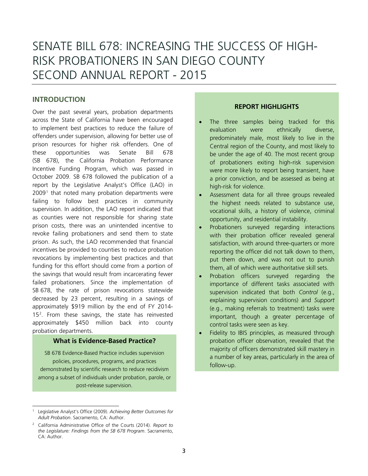# SENATE BILL 678: INCREASING THE SUCCESS OF HIGH-RISK PROBATIONERS IN SAN DIEGO COUNTY SECOND ANNUAL REPORT - 2015

# **INTRODUCTION**

Over the past several years, probation departments across the State of California have been encouraged to implement best practices to reduce the failure of offenders under supervision, allowing for better use of prison resources for higher risk offenders. One of these opportunities was Senate Bill 678 (SB 678), the California Probation Performance Incentive Funding Program, which was passed in October 2009. SB 678 followed the publication of a report by the Legislative Analyst's Office (LAO) in  $2009<sup>1</sup>$  $2009<sup>1</sup>$  $2009<sup>1</sup>$  that noted many probation departments were failing to follow best practices in community supervision. In addition, the LAO report indicated that as counties were not responsible for sharing state prison costs, there was an unintended incentive to revoke failing probationers and send them to state prison. As such, the LAO recommended that financial incentives be provided to counties to reduce probation revocations by implementing best practices and that funding for this effort should come from a portion of the savings that would result from incarcerating fewer failed probationers. Since the implementation of SB 678, the rate of prison revocations statewide decreased by 23 percent, resulting in a savings of approximately \$919 million by the end of FY 2014- 15[2](#page-2-1) . From these savings, the state has reinvested approximately \$450 million back into county probation departments.

# **What is Evidence-Based Practice?**

SB 678 Evidence-Based Practice includes supervision policies, procedures, programs, and practices demonstrated by scientific research to reduce recidivism among a subset of individuals under probation, parole, or post-release supervision.

# **REPORT HIGHLIGHTS**

- The three samples being tracked for this evaluation were ethnically diverse, predominately male, most likely to live in the Central region of the County, and most likely to be under the age of 40. The most recent group of probationers exiting high-risk supervision were more likely to report being transient, have a prior conviction, and be assessed as being at high-risk for violence.
- Assessment data for all three groups revealed the highest needs related to substance use, vocational skills, a history of violence, criminal opportunity, and residential instability.
- Probationers surveyed regarding interactions with their probation officer revealed general satisfaction, with around three-quarters or more reporting the officer did not talk down to them, put them down, and was not out to punish them, all of which were authoritative skill sets.
- Probation officers surveyed regarding the importance of different tasks associated with supervision indicated that both *Control* (e.g., explaining supervision conditions) and *Support* (e.g., making referrals to treatment) tasks were important, though a greater percentage of control tasks were seen as key.
- Fidelity to IBIS principles, as measured through probation officer observation, revealed that the majority of officers demonstrated skill mastery in a number of key areas, particularly in the area of follow-up.

<span id="page-2-0"></span>Ĩ <sup>1</sup> Legislative Analyst's Office (2009). *Achieving Better Outcomes for Adult Probation*. Sacramento, CA: Author.

<span id="page-2-1"></span><sup>2</sup> California Administrative Office of the Courts (2014). *Report to the Legislature: Findings from the SB 678 Program*. Sacramento, CA: Author.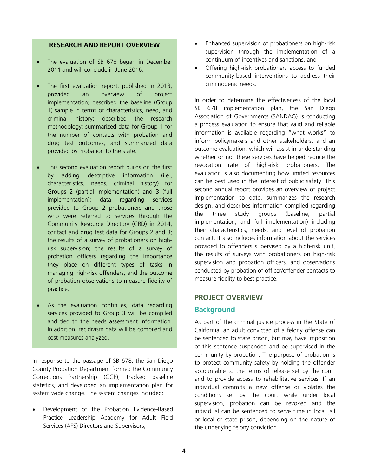# **RESEARCH AND REPORT OVERVIEW**

- The evaluation of SB 678 began in December 2011 and will conclude in June 2016.
- The first evaluation report, published in 2013, provided an overview of project implementation; described the baseline (Group 1) sample in terms of characteristics, need, and criminal history; described the research methodology; summarized data for Group 1 for the number of contacts with probation and drug test outcomes; and summarized data provided by Probation to the state.
- This second evaluation report builds on the first by adding descriptive information (i.e., characteristics, needs, criminal history) for Groups 2 (partial implementation) and 3 (full implementation); data regarding services provided to Group 2 probationers and those who were referred to services through the Community Resource Directory (CRD) in 2014; contact and drug test data for Groups 2 and 3; the results of a survey of probationers on highrisk supervision; the results of a survey of probation officers regarding the importance they place on different types of tasks in managing high-risk offenders; and the outcome of probation observations to measure fidelity of practice.
- As the evaluation continues, data regarding services provided to Group 3 will be compiled and tied to the needs assessment information. In addition, recidivism data will be compiled and cost measures analyzed.

In response to the passage of SB 678, the San Diego County Probation Department formed the Community Corrections Partnership (CCP), tracked baseline statistics, and developed an implementation plan for system wide change. The system changes included:

• Development of the Probation Evidence-Based Practice Leadership Academy for Adult Field Services (AFS) Directors and Supervisors,

- Enhanced supervision of probationers on high-risk supervision through the implementation of a continuum of incentives and sanctions, and
- Offering high-risk probationers access to funded community-based interventions to address their criminogenic needs.

In order to determine the effectiveness of the local SB 678 implementation plan, the San Diego Association of Governments (SANDAG) is conducting a process evaluation to ensure that valid and reliable information is available regarding "what works" to inform policymakers and other stakeholders; and an outcome evaluation, which will assist in understanding whether or not these services have helped reduce the revocation rate of high-risk probationers. The evaluation is also documenting how limited resources can be best used in the interest of public safety. This second annual report provides an overview of project implementation to date, summarizes the research design, and describes information compiled regarding the three study groups (baseline, partial implementation, and full implementation) including their characteristics, needs, and level of probation contact. It also includes information about the services provided to offenders supervised by a high-risk unit, the results of surveys with probationers on high-risk supervision and probation officers, and observations conducted by probation of officer/offender contacts to measure fidelity to best practice.

### **PROJECT OVERVIEW**

### **Background**

As part of the criminal justice process in the State of California, an adult convicted of a felony offense can be sentenced to state prison, but may have imposition of this sentence suspended and be supervised in the community by probation. The purpose of probation is to protect community safety by holding the offender accountable to the terms of release set by the court and to provide access to rehabilitative services. If an individual commits a new offense or violates the conditions set by the court while under local supervision, probation can be revoked and the individual can be sentenced to serve time in local jail or local or state prison, depending on the nature of the underlying felony conviction.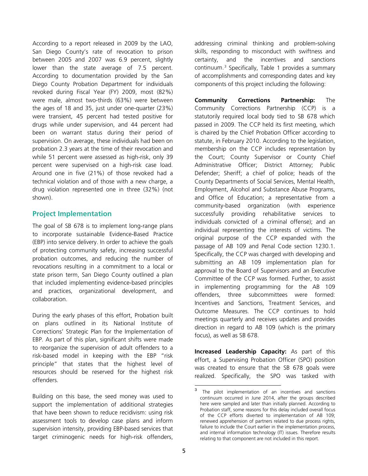According to a report released in 2009 by the LAO, San Diego County's rate of revocation to prison between 2005 and 2007 was 6.9 percent, slightly lower than the state average of 7.5 percent. According to documentation provided by the San Diego County Probation Department for individuals revoked during Fiscal Year (FY) 2009, most (82%) were male, almost two-thirds (63%) were between the ages of 18 and 35, just under one-quarter (23%) were transient, 45 percent had tested positive for drugs while under supervision, and 44 percent had been on warrant status during their period of supervision. On average, these individuals had been on probation 2.3 years at the time of their revocation and while 51 percent were assessed as high-risk, only 39 percent were supervised on a high-risk case load. Around one in five (21%) of those revoked had a technical violation and of those with a new charge, a drug violation represented one in three (32%) (not shown).

# **Project Implementation**

The goal of SB 678 is to implement long-range plans to incorporate sustainable Evidence-Based Practice (EBP) into service delivery. In order to achieve the goals of protecting community safety, increasing successful probation outcomes, and reducing the number of revocations resulting in a commitment to a local or state prison term, San Diego County outlined a plan that included implementing evidence-based principles and practices, organizational development, and collaboration.

During the early phases of this effort, Probation built on plans outlined in its National Institute of Corrections' Strategic Plan for the Implementation of EBP. As part of this plan, significant shifts were made to reorganize the supervision of adult offenders to a risk-based model in keeping with the EBP "risk principle" that states that the highest level of resources should be reserved for the highest risk offenders.

<span id="page-4-0"></span>Building on this base, the seed money was used to support the implementation of additional strategies that have been shown to reduce recidivism: using risk assessment tools to develop case plans and inform supervision intensity, providing EBP-based services that target criminogenic needs for high-risk offenders, addressing criminal thinking and problem-solving skills, responding to misconduct with swiftness and certainty, and the incentives and sanctions continuum.[3](#page-4-0) Specifically, Table 1 provides a summary of accomplishments and corresponding dates and key components of this project including the following:

**Community Corrections Partnership:** The Community Corrections Partnership (CCP) is a statutorily required local body tied to SB 678 which passed in 2009. The CCP held its first meeting, which is chaired by the Chief Probation Officer according to statute, in February 2010. According to the legislation, membership on the CCP includes representation by the Court; County Supervisor or County Chief Administrative Officer; District Attorney; Public Defender; Sheriff; a chief of police; heads of the County Departments of Social Services, Mental Health, Employment, Alcohol and Substance Abuse Programs, and Office of Education; a representative from a community-based organization (with experience successfully providing rehabilitative services to individuals convicted of a criminal offense); and an individual representing the interests of victims. The original purpose of the CCP expanded with the passage of AB 109 and Penal Code section 1230.1. Specifically, the CCP was charged with developing and submitting an AB 109 implementation plan for approval to the Board of Supervisors and an Executive Committee of the CCP was formed. Further, to assist in implementing programming for the AB 109 offenders, three subcommittees were formed: Incentives and Sanctions, Treatment Services, and Outcome Measures. The CCP continues to hold meetings quarterly and receives updates and provides direction in regard to AB 109 (which is the primary focus), as well as SB 678.

**Increased Leadership Capacity:** As part of this effort, a Supervising Probation Officer (SPO) position was created to ensure that the SB 678 goals were realized. Specifically, the SPO was tasked with

 $\mathbf{3}$ The pilot implementation of an incentives and sanctions continuum occurred in June 2014, after the groups described here were sampled and later than initially planned. According to Probation staff, some reasons for this delay included overall focus of the CCP efforts diverted to implementation of AB 109; renewed apprehension of partners related to due process rights, failure to include the Court earlier in the implementation process, and internal information technology (IT) issues. Therefore results relating to that component are not included in this report.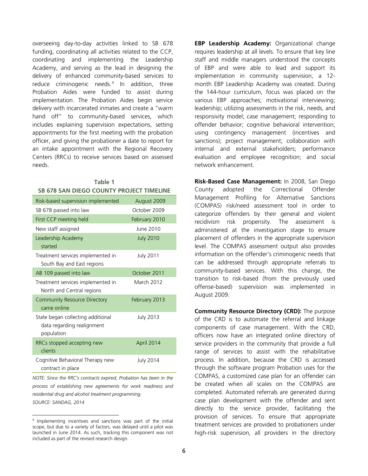overseeing day-to-day activities linked to SB 678 funding, coordinating all activities related to the CCP, coordinating and implementing the Leadership Academy, and serving as the lead in designing the delivery of enhanced community-based services to reduce criminogenic needs. [4](#page-5-0) In addition, three Probation Aides were funded to assist during implementation. The Probation Aides begin service delivery with incarcerated inmates and create a "warm hand off" to community-based services, which includes explaining supervision expectations, setting appointments for the first meeting with the probation officer, and giving the probationer a date to report for an intake appointment with the Regional Recovery Centers (RRCs) to receive services based on assessed needs.

| Table 1<br><b>SB 678 SAN DIEGO COUNTY PROJECT TIMELINE</b>                    |                  |  |  |  |
|-------------------------------------------------------------------------------|------------------|--|--|--|
| Risk-based supervision implemented                                            | August 2009      |  |  |  |
| SB 678 passed into law                                                        | October 2009     |  |  |  |
| First CCP meeting held                                                        | February 2010    |  |  |  |
| New staff assigned                                                            | June 2010        |  |  |  |
| Leadership Academy<br>started                                                 | <b>July 2010</b> |  |  |  |
| Treatment services implemented in<br>South Bay and East regions               | <b>July 2011</b> |  |  |  |
| AB 109 passed into law                                                        | October 2011     |  |  |  |
| Treatment services implemented in<br>North and Central regions                | March 2012       |  |  |  |
| <b>Community Resource Directory</b><br>came online                            | February 2013    |  |  |  |
| State began collecting additional<br>data regarding realignment<br>population | <b>July 2013</b> |  |  |  |
| RRCs stopped accepting new<br>clients                                         | April 2014       |  |  |  |
| Cognitive Behavioral Therapy new<br>contract in place                         | <b>July 2014</b> |  |  |  |

*NOTE: Since the RRC's contracts expired, Probation has been in the process of establishing new agreements for work readiness and residential drug and alcohol treatment programming.*

*SOURCE: SANDAG, 2014*

**EBP Leadership Academy:** Organizational change requires leadership at all levels. To ensure that key line staff and middle managers understood the concepts of EBP and were able to lead and support its implementation in community supervision, a 12 month EBP Leadership Academy was created. During the 144-hour curriculum, focus was placed on the various EBP approaches; motivational interviewing; leadership; utilizing assessments in the risk, needs, and responsivity model; case management; responding to offender behavior; cognitive behavioral intervention; using contingency management (incentives and sanctions); project management; collaboration with internal and external stakeholders; performance evaluation and employee recognition; and social network enhancement.

**Risk-Based Case Management:** In 2008, San Diego County adopted the Correctional Offender Management Profiling for Alternative Sanctions (COMPAS) risk/need assessment tool in order to categorize offenders by their general and violent recidivism risk propensity. The assessment is administered at the investigation stage to ensure placement of offenders in the appropriate supervision level. The COMPAS assessment output also provides information on the offender's criminogenic needs that can be addressed through appropriate referrals to community-based services. With this change, the transition to risk-based (from the previously used offense-based) supervision was implemented in August 2009.

**Community Resource Directory (CRD):** The purpose of the CRD is to automate the referral and linkage components of case management. With the CRD, officers now have an integrated online directory of service providers in the community that provide a full range of services to assist with the rehabilitative process. In addition, because the CRD is accessed through the software program Probation uses for the COMPAS, a customized case plan for an offender can be created when all scales on the COMPAS are completed. Automated referrals are generated during case plan development with the offender and sent directly to the service provider, facilitating the provision of services. To ensure that appropriate treatment services are provided to probationers under high-risk supervision, all providers in the directory

<span id="page-5-0"></span>t <sup>4</sup> Implementing incentives and sanctions was part of the initial scope, but due to a variety of factors, was delayed until a pilot was launched in June 2014. As such, tracking this component was not included as part of the revised research design.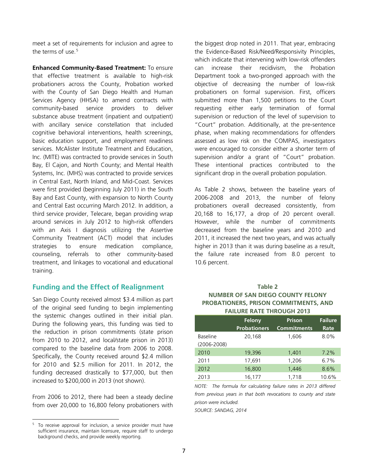meet a set of requirements for inclusion and agree to the terms of use.<sup>[5](#page-6-0)</sup>

**Enhanced Community-Based Treatment:** To ensure that effective treatment is available to high-risk probationers across the County, Probation worked with the County of San Diego Health and Human Services Agency (HHSA) to amend contracts with community-based service providers to deliver substance abuse treatment (inpatient and outpatient) with ancillary service constellation that included cognitive behavioral interventions, health screenings, basic education support, and employment readiness services. McAlister Institute Treatment and Education, Inc. (MITE) was contracted to provide services in South Bay, El Cajon, and North County; and Mental Health Systems, Inc. (MHS) was contracted to provide services in Central East, North Inland, and Mid-Coast. Services were first provided (beginning July 2011) in the South Bay and East County, with expansion to North County and Central East occurring March 2012. In addition, a third service provider, Telecare, began providing wrap around services in July 2012 to high-risk offenders with an Axis I diagnosis utilizing the Assertive Community Treatment (ACT) model that includes strategies to ensure medication compliance, counseling, referrals to other community-based treatment, and linkages to vocational and educational training.

# **Funding and the Effect of Realignment**

San Diego County received almost \$3.4 million as part of the original seed funding to begin implementing the systemic changes outlined in their initial plan. During the following years, this funding was tied to the reduction in prison commitments (state prison from 2010 to 2012, and local/state prison in 2013) compared to the baseline data from 2006 to 2008. Specifically, the County received around \$2.4 million for 2010 and \$2.5 million for 2011. In 2012, the funding decreased drastically to \$77,000, but then increased to \$200,000 in 2013 (not shown).

From 2006 to 2012, there had been a steady decline from over 20,000 to 16,800 felony probationers with

the biggest drop noted in 2011. That year, embracing the Evidence-Based Risk/Need/Responsivity Principles, which indicate that intervening with low-risk offenders can increase their recidivism, the Probation Department took a two-pronged approach with the objective of decreasing the number of low-risk probationers on formal supervision. First, officers submitted more than 1,500 petitions to the Court requesting either early termination of formal supervision or reduction of the level of supervision to "Court" probation. Additionally, at the pre-sentence phase, when making recommendations for offenders assessed as low risk on the COMPAS, investigators were encouraged to consider either a shorter term of supervision and/or a grant of "Court" probation. These intentional practices contributed to the significant drop in the overall probation population.

As Table 2 shows, between the baseline years of 2006-2008 and 2013, the number of felony probationers overall decreased consistently, from 20,168 to 16,177, a drop of 20 percent overall. However, while the number of commitments decreased from the baseline years and 2010 and 2011, it increased the next two years, and was actually higher in 2013 than it was during baseline as a result, the failure rate increased from 8.0 percent to 10.6 percent.

# **Table 2 NUMBER OF SAN DIEGO COUNTY FELONY PROBATIONERS, PRISON COMMITMENTS, AND FAILURE RATE THROUGH 2013**

|                 | Felony              | <b>Prison</b>      | <b>Failure</b> |
|-----------------|---------------------|--------------------|----------------|
|                 | <b>Probationers</b> | <b>Commitments</b> | Rate           |
| <b>Baseline</b> | 20,168              | 1,606              | 8.0%           |
| $(2006 - 2008)$ |                     |                    |                |
| 2010            | 19,396              | 1,401              | $7.2\%$        |
| 2011            | 17,691              | 1,206              | 6.7%           |
| 2012            | 16,800              | 1,446              | 8.6%           |
| 2013            | 16,177              | 1.718              | 10.6%          |

*NOTE: The formula for calculating failure rates in 2013 differed from previous years in that both revocations to county and state prison were included.*

*SOURCE: SANDAG, 2014*

<span id="page-6-0"></span>Ĩ <sup>5</sup> To receive approval for inclusion, a service provider must have sufficient insurance, maintain licensure, require staff to undergo background checks, and provide weekly reporting.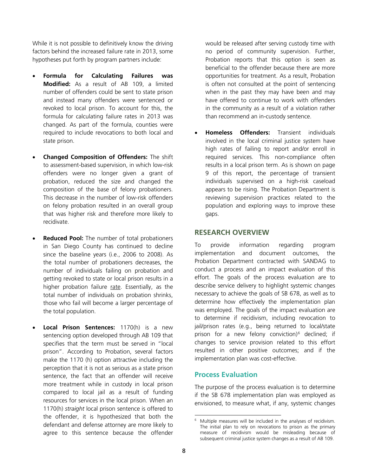While it is not possible to definitively know the driving factors behind the increased failure rate in 2013, some hypotheses put forth by program partners include:

- **Formula for Calculating Failures was Modified:** As a result of AB 109, a limited number of offenders could be sent to state prison and instead many offenders were sentenced or revoked to local prison. To account for this, the formula for calculating failure rates in 2013 was changed. As part of the formula, counties were required to include revocations to both local and state prison.
- **Changed Composition of Offenders:** The shift to assessment-based supervision, in which low-risk offenders were no longer given a grant of probation, reduced the size and changed the composition of the base of felony probationers. This decrease in the number of low-risk offenders on felony probation resulted in an overall group that was higher risk and therefore more likely to recidivate.
- **Reduced Pool:** The number of total probationers in San Diego County has continued to decline since the baseline years (i.e., 2006 to 2008). As the total number of probationers decreases, the number of individuals failing on probation and getting revoked to state or local prison results in a higher probation failure rate. Essentially, as the total number of individuals on probation shrinks, those who fail will become a larger percentage of the total population.
- <span id="page-7-0"></span>• **Local Prison Sentences:** 1170(h) is a new sentencing option developed through AB 109 that specifies that the term must be served in "local prison". According to Probation, several factors make the 1170 (h) option attractive including the perception that it is not as serious as a state prison sentence, the fact that an offender will receive more treatment while in custody in local prison compared to local jail as a result of funding resources for services in the local prison. When an 1170(h) *straight* local prison sentence is offered to the offender, it is hypothesized that both the defendant and defense attorney are more likely to agree to this sentence because the offender

would be released after serving custody time with no period of community supervision. Further, Probation reports that this option is seen as beneficial to the offender because there are more opportunities for treatment. As a result, Probation is often not consulted at the point of sentencing when in the past they may have been and may have offered to continue to work with offenders in the community as a result of a violation rather than recommend an in-custody sentence.

• **Homeless Offenders:** Transient individuals involved in the local criminal justice system have high rates of failing to report and/or enroll in required services. This non-compliance often results in a local prison term. As is shown on page 9 of this report, the percentage of transient individuals supervised on a high-risk caseload appears to be rising. The Probation Department is reviewing supervision practices related to the population and exploring ways to improve these gaps.

# **RESEARCH OVERVIEW**

To provide information regarding program implementation and document outcomes, the Probation Department contracted with SANDAG to conduct a process and an impact evaluation of this effort. The goals of the process evaluation are to describe service delivery to highlight systemic changes necessary to achieve the goals of SB 678, as well as to determine how effectively the implementation plan was employed. The goals of the impact evaluation are to determine if recidivism, including revocation to jail/prison rates (e.g., being returned to local/state prison for a new felony conviction)<sup>[6](#page-7-0)</sup> declined; if changes to service provision related to this effort resulted in other positive outcomes; and if the implementation plan was cost-effective.

# **Process Evaluation**

The purpose of the process evaluation is to determine if the SB 678 implementation plan was employed as envisioned, to measure what, if any, systemic changes

t Multiple measures will be included in the analyses of recidivism. The initial plan to rely on revocations to prison as the primary measure of recidivism would be misleading because of subsequent criminal justice system changes as a result of AB 109.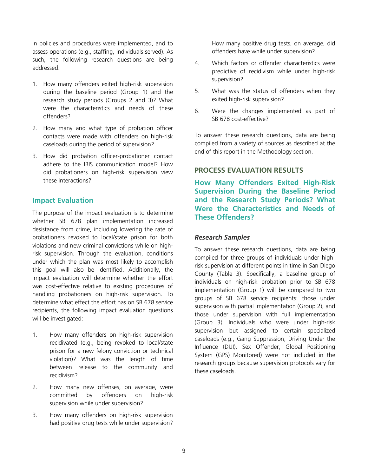in policies and procedures were implemented, and to assess operations (e.g., staffing, individuals served). As such, the following research questions are being addressed:

- 1. How many offenders exited high-risk supervision during the baseline period (Group 1) and the research study periods (Groups 2 and 3)? What were the characteristics and needs of these offenders?
- 2. How many and what type of probation officer contacts were made with offenders on high-risk caseloads during the period of supervision?
- 3. How did probation officer-probationer contact adhere to the IBIS communication model? How did probationers on high-risk supervision view these interactions?

# **Impact Evaluation**

The purpose of the impact evaluation is to determine whether SB 678 plan implementation increased desistance from crime, including lowering the rate of probationers revoked to local/state prison for both violations and new criminal convictions while on highrisk supervision. Through the evaluation, conditions under which the plan was most likely to accomplish this goal will also be identified. Additionally, the impact evaluation will determine whether the effort was cost-effective relative to existing procedures of handling probationers on high-risk supervision. To determine what effect the effort has on SB 678 service recipients, the following impact evaluation questions will be investigated:

- 1. How many offenders on high-risk supervision recidivated (e.g., being revoked to local/state prison for a new felony conviction or technical violation)? What was the length of time between release to the community and recidivism?
- 2. How many new offenses, on average, were committed by offenders on high-risk supervision while under supervision?
- 3. How many offenders on high-risk supervision had positive drug tests while under supervision?

How many positive drug tests, on average, did offenders have while under supervision?

- 4. Which factors or offender characteristics were predictive of recidivism while under high-risk supervision?
- 5. What was the status of offenders when they exited high-risk supervision?
- 6. Were the changes implemented as part of SB 678 cost-effective?

To answer these research questions, data are being compiled from a variety of sources as described at the end of this report in the Methodology section.

# **PROCESS EVALUATION RESULTS**

**How Many Offenders Exited High-Risk Supervision During the Baseline Period and the Research Study Periods? What Were the Characteristics and Needs of These Offenders?**

# *Research Samples*

To answer these research questions, data are being compiled for three groups of individuals under highrisk supervision at different points in time in San Diego County (Table 3). Specifically, a baseline group of individuals on high-risk probation prior to SB 678 implementation (Group 1) will be compared to two groups of SB 678 service recipients: those under supervision with partial implementation (Group 2), and those under supervision with full implementation (Group 3). Individuals who were under high-risk supervision but assigned to certain specialized caseloads (e.g., Gang Suppression, Driving Under the Influence (DUI), Sex Offender, Global Positioning System (GPS) Monitored) were not included in the research groups because supervision protocols vary for these caseloads.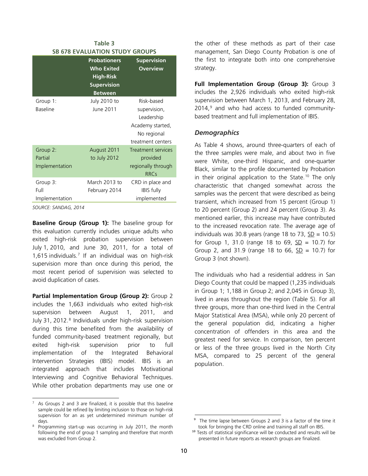| Table 3                               |                                                                                                      |                                                                                                  |  |
|---------------------------------------|------------------------------------------------------------------------------------------------------|--------------------------------------------------------------------------------------------------|--|
|                                       | <b>SB 678 EVALUATION STUDY GROUPS</b>                                                                |                                                                                                  |  |
|                                       | <b>Probationers</b><br><b>Who Exited</b><br><b>High-Risk</b><br><b>Supervision</b><br><b>Between</b> | <b>Supervision</b><br><b>Overview</b>                                                            |  |
| Group 1:<br><b>Baseline</b>           | July 2010 to<br>June 2011                                                                            | Risk-based<br>supervision,<br>Leadership<br>Academy started,<br>No regional<br>treatment centers |  |
| Group 2:<br>Partial<br>Implementation | August 2011<br>to July 2012                                                                          | <b>Treatment services</b><br>provided<br>regionally through<br><b>RRCs</b>                       |  |
| Group 3:<br>Full<br>Implementation    | March 2013 to<br>February 2014                                                                       | CRD in place and<br><b>IBIS fully</b><br>implemented                                             |  |

*SOURCE: SANDAG, 2014*

**Baseline Group (Group 1):** The baseline group for this evaluation currently includes unique adults who exited high-risk probation supervision between July 1, 2010, and June 30, 2011, for a total of 1,615 individuals.[7](#page-9-0) If an individual was on high-risk supervision more than once during this period, the most recent period of supervision was selected to avoid duplication of cases.

**Partial Implementation Group (Group 2):** Group 2 includes the 1,663 individuals who exited high-risk supervision between August 1, 2011, and July 31, 2012.<sup>[8](#page-9-1)</sup> Individuals under high-risk supervision during this time benefited from the availability of funded community-based treatment regionally, but exited high-risk supervision prior to full implementation of the Integrated Behavioral Intervention Strategies (IBIS) model. IBIS is an integrated approach that includes Motivational Interviewing and Cognitive Behavioral Techniques. While other probation departments may use one or the other of these methods as part of their case management, San Diego County Probation is one of the first to integrate both into one comprehensive strategy.

**Full Implementation Group (Group 3):** Group 3 includes the 2,926 individuals who exited high-risk supervision between March 1, 2013, and February 28, 2014, [9](#page-9-2) and who had access to funded communitybased treatment and full implementation of IBIS.

# *Demographics*

As Table 4 shows, around three-quarters of each of the three samples were male, and about two in five were White, one-third Hispanic, and one-quarter Black, similar to the profile documented by Probation in their original application to the State. [10](#page-9-3) The only characteristic that changed somewhat across the samples was the percent that were described as being transient, which increased from 15 percent (Group 1) to 20 percent (Group 2) and 24 percent (Group 3). As mentioned earlier, this increase may have contributed to the increased revocation rate. The average age of individuals was 30.8 years (range 18 to 73,  $SD = 10.5$ ) for Group 1, 31.0 (range 18 to 69,  $SD = 10.7$ ) for Group 2, and 31.9 (range 18 to 66,  $SD = 10.7$ ) for Group 3 (not shown).

The individuals who had a residential address in San Diego County that could be mapped (1,235 individuals in Group 1; 1,188 in Group 2; and 2,045 in Group 3), lived in areas throughout the region (Table 5). For all three groups, more than one-third lived in the Central Major Statistical Area (MSA), while only 20 percent of the general population did, indicating a higher concentration of offenders in this area and the greatest need for service. In comparison, ten percent or less of the three groups lived in the North City MSA, compared to 25 percent of the general population.

<span id="page-9-0"></span>l, As Groups 2 and 3 are finalized, it is possible that this baseline sample could be refined by limiting inclusion to those on high-risk supervision for an as yet undetermined minimum number of days.

<span id="page-9-3"></span><span id="page-9-2"></span><span id="page-9-1"></span><sup>&</sup>lt;sup>8</sup> Programming start-up was occurring in July 2011, the month following the end of group 1 sampling and therefore that month was excluded from Group 2.

j The time lapse between Groups 2 and 3 is a factor of the time it took for bringing the CRD online and training all staff on IBIS.

<sup>&</sup>lt;sup>10</sup> Tests of statistical significance will be conducted and results will be presented in future reports as research groups are finalized.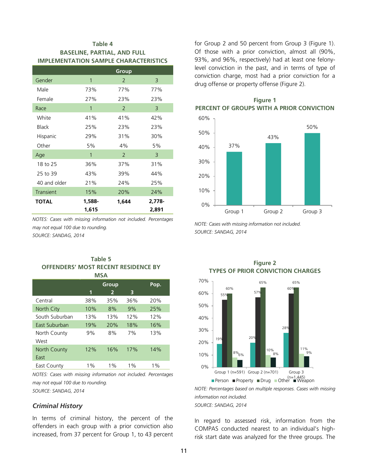# **Table 4 BASELINE, PARTIAL, AND FULL IMPLEMENTATION SAMPLE CHARACTERISTICS**

|              |              | Group          |        |
|--------------|--------------|----------------|--------|
| Gender       | 1            | 2              | 3      |
| Male         | 73%          | 77%            | 77%    |
| Female       | 27%          | 23%            | 23%    |
| Race         | $\mathbf{1}$ | 2              | 3      |
| White        | 41%          | 41%            | 42%    |
| <b>Black</b> | 25%          | 23%            | 23%    |
| Hispanic     | 29%          | 31%            | 30%    |
| Other        | 5%           | 4%             | 5%     |
| Age          | $\mathbf{1}$ | $\overline{2}$ | 3      |
| 18 to 25     | 36%          | 37%            | 31%    |
| 25 to 39     | 43%          | 39%            | 44%    |
| 40 and older | 21%          | 24%            | 25%    |
| Transient    | 15%          | 20%            | 24%    |
| <b>TOTAL</b> | 1,588-       | 1,644          | 2,778- |
|              | 1,615        |                | 2,891  |

*NOTES: Cases with missing information not included. Percentages may not equal 100 due to rounding. SOURCE: SANDAG, 2014*

### **Table 5 OFFENDERS' MOST RECENT RESIDENCE BY MSA**

|                |       | <b>Group</b>   |       | Pop.  |
|----------------|-------|----------------|-------|-------|
|                | 1     | $\overline{2}$ | 3     |       |
| Central        | 38%   | 35%            | 36%   | 20%   |
| North City     | 10%   | 8%             | 9%    | 25%   |
| South Suburban | 13%   | 13%            | 12%   | 12%   |
| East Suburban  | 19%   | 20%            | 18%   | 16%   |
| North County   | 9%    | 8%             | 7%    | 13%   |
| West           |       |                |       |       |
| North County   | 12%   | 16%            | 17%   | 14%   |
| East           |       |                |       |       |
| East County    | $1\%$ | $1\%$          | $1\%$ | $1\%$ |

*NOTES: Cases with missing information not included. Percentages may not equal 100 due to rounding. SOURCE: SANDAG, 2014*

*Criminal History*

In terms of criminal history, the percent of the offenders in each group with a prior conviction also increased, from 37 percent for Group 1, to 43 percent

for Group 2 and 50 percent from Group 3 (Figure 1). Of those with a prior conviction, almost all (90%, 93%, and 96%, respectively) had at least one felonylevel conviction in the past, and in terms of type of conviction charge, most had a prior conviction for a drug offense or property offense (Figure 2).



**Figure 2**

# **Figure 1 PERCENT OF GROUPS WITH A PRIOR CONVICTION**

*NOTE: Cases with missing information not included. SOURCE: SANDAG, 2014*



*NOTE: Percentages based on multiple responses. Cases with missing information not included.* **■ Person ■ Property ■ Drug ■ Other ■ Weapon** 

*SOURCE: SANDAG, 2014*

In regard to assessed risk, information from the COMPAS conducted nearest to an individual's highrisk start date was analyzed for the three groups. The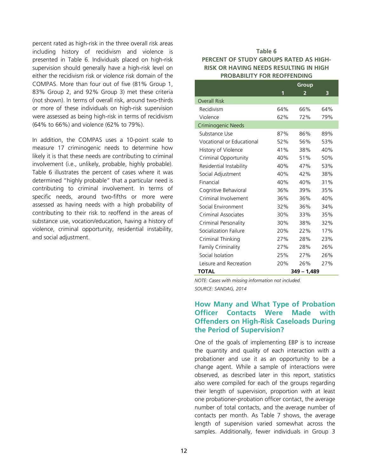percent rated as high-risk in the three overall risk areas including history of recidivism and violence is presented in Table 6. Individuals placed on high-risk supervision should generally have a high-risk level on either the recidivism risk or violence risk domain of the COMPAS. More than four out of five (81% Group 1, 83% Group 2, and 92% Group 3) met these criteria (not shown). In terms of overall risk, around two-thirds or more of these individuals on high-risk supervision were assessed as being high-risk in terms of recidivism (64% to 66%) and violence (62% to 79%).

In addition, the COMPAS uses a 10-point scale to measure 17 criminogenic needs to determine how likely it is that these needs are contributing to criminal involvement (i.e., unlikely, probable, highly probable). Table 6 illustrates the percent of cases where it was determined "highly probable" that a particular need is contributing to criminal involvement. In terms of specific needs, around two-fifths or more were assessed as having needs with a high probability of contributing to their risk to reoffend in the areas of substance use, vocation/education, having a history of violence, criminal opportunity, residential instability, and social adjustment.

# **Table 6 PERCENT OF STUDY GROUPS RATED AS HIGH-RISK OR HAVING NEEDS RESULTING IN HIGH PROBABILITY FOR REOFFENDING**

|                           |     | Group          |     |
|---------------------------|-----|----------------|-----|
|                           | 1   | $\overline{2}$ | 3   |
| <b>Overall Risk</b>       |     |                |     |
| Recidivism                | 64% | 66%            | 64% |
| Violence                  | 62% | 72%            | 79% |
| Criminogenic Needs        |     |                |     |
| Substance Use             | 87% | 86%            | 89% |
| Vocational or Educational | 52% | 56%            | 53% |
| History of Violence       | 41% | 38%            | 40% |
| Criminal Opportunity      | 40% | 51%            | 50% |
| Residential Instability   | 40% | 47%            | 53% |
| Social Adjustment         | 40% | 42%            | 38% |
| Financial                 | 40% | 40%            | 31% |
| Cognitive Behavioral      | 36% | 39%            | 35% |
| Criminal Involvement      | 36% | 36%            | 40% |
| Social Environment        | 32% | 36%            | 34% |
| Criminal Associates       | 30% | 33%            | 35% |
| Criminal Personality      | 30% | 38%            | 32% |
| Socialization Failure     | 20% | 22%            | 17% |
| Criminal Thinking         | 27% | 28%            | 23% |
| <b>Family Criminality</b> | 27% | 28%            | 26% |
| Social Isolation          | 25% | 27%            | 26% |
| Leisure and Recreation    | 20% | 26%            | 27% |
| <b>TOTAL</b>              |     | $349 - 1,489$  |     |

*NOTE: Cases with missing information not included. SOURCE: SANDAG, 2014*

# **How Many and What Type of Probation Officer Contacts Were Made with Offenders on High-Risk Caseloads During the Period of Supervision?**

One of the goals of implementing EBP is to increase the quantity and quality of each interaction with a probationer and use it as an opportunity to be a change agent. While a sample of interactions were observed, as described later in this report, statistics also were compiled for each of the groups regarding their length of supervision, proportion with at least one probationer-probation officer contact, the average number of total contacts, and the average number of contacts per month. As Table 7 shows, the average length of supervision varied somewhat across the samples. Additionally, fewer individuals in Group 3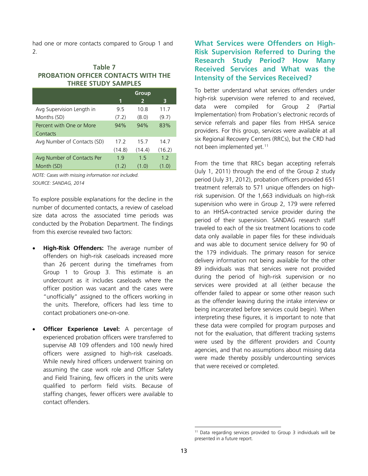had one or more contacts compared to Group 1 and 2.

### **Table 7 PROBATION OFFICER CONTACTS WITH THE THREE STUDY SAMPLES**

|                             |        | Group          |        |
|-----------------------------|--------|----------------|--------|
|                             | 1      | $\overline{2}$ | 3      |
| Avg Supervision Length in   | 95     | 10.8           | 11.7   |
| Months (SD)                 | (7.2)  | (8.0)          | (9.7)  |
| Percent with One or More    | 94%    | 94%            | 83%    |
| Contacts                    |        |                |        |
| Avg Number of Contacts (SD) | 17.2   | 15.7           | 147    |
|                             | (14.8) | (14.4)         | (16.2) |
| Avg Number of Contacts Per  | 19     | 15             | 12     |
| Month (SD)                  | (1.2)  | (1.0)          | (1.0)  |

*NOTE: Cases with missing information not included. SOURCE: SANDAG, 2014*

To explore possible explanations for the decline in the number of documented contacts, a review of caseload size data across the associated time periods was conducted by the Probation Department. The findings from this exercise revealed two factors:

- **High-Risk Offenders:** The average number of offenders on high-risk caseloads increased more than 26 percent during the timeframes from Group 1 to Group 3. This estimate is an undercount as it includes caseloads where the officer position was vacant and the cases were "unofficially" assigned to the officers working in the units. Therefore, officers had less time to contact probationers one-on-one.
- <span id="page-12-0"></span>**Officer Experience Level:** A percentage of experienced probation officers were transferred to supervise AB 109 offenders and 100 newly hired officers were assigned to high-risk caseloads. While newly hired officers underwent training on assuming the case work role and Officer Safety and Field Training, few officers in the units were qualified to perform field visits. Because of staffing changes, fewer officers were available to contact offenders.

# **What Services were Offenders on High-Risk Supervision Referred to During the Research Study Period? How Many Received Services and What was the Intensity of the Services Received?**

To better understand what services offenders under high-risk supervision were referred to and received, data were compiled for Group 2 (Partial Implementation) from Probation's electronic records of service referrals and paper files from HHSA service providers. For this group, services were available at all six Regional Recovery Centers (RRCs), but the CRD had not been implemented yet.<sup>[11](#page-12-0)</sup>

From the time that RRCs began accepting referrals (July 1, 2011) through the end of the Group 2 study period (July 31, 2012), probation officers provided 651 treatment referrals to 571 unique offenders on highrisk supervision. Of the 1,663 individuals on high-risk supervision who were in Group 2, 179 were referred to an HHSA-contracted service provider during the period of their supervision. SANDAG research staff traveled to each of the six treatment locations to code data only available in paper files for these individuals and was able to document service delivery for 90 of the 179 individuals. The primary reason for service delivery information not being available for the other 89 individuals was that services were not provided during the period of high-risk supervision or no services were provided at all (either because the offender failed to appear or some other reason such as the offender leaving during the intake interview or being incarcerated before services could begin). When interpreting these figures, it is important to note that these data were compiled for program purposes and not for the evaluation, that different tracking systems were used by the different providers and County agencies, and that no assumptions about missing data were made thereby possibly undercounting services that were received or completed.

 $\frac{1}{2}$  $11$  Data regarding services provided to Group 3 individuals will be presented in a future report.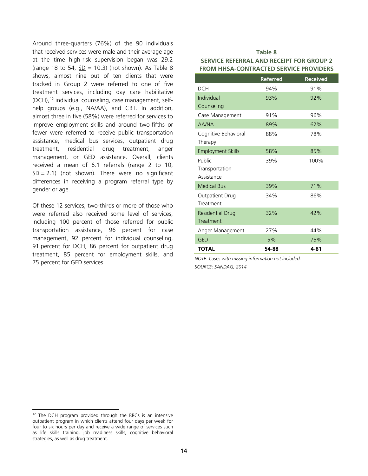Around three-quarters (76%) of the 90 individuals that received services were male and their average age at the time high-risk supervision began was 29.2 (range 18 to 54,  $SD = 10.3$ ) (not shown). As Table 8 shows, almost nine out of ten clients that were tracked in Group 2 were referred to one of five treatment services, including day care habilitative (DCH),[12](#page-13-0) individual counseling, case management, selfhelp groups (e.g., NA/AA), and CBT. In addition, almost three in five (58%) were referred for services to improve employment skills and around two-fifths or fewer were referred to receive public transportation assistance, medical bus services, outpatient drug treatment, residential drug treatment, anger management, or GED assistance. Overall, clients received a mean of 6.1 referrals (range 2 to 10,  $SD = 2.1$ ) (not shown). There were no significant differences in receiving a program referral type by gender or age.

Of these 12 services, two-thirds or more of those who were referred also received some level of services, including 100 percent of those referred for public transportation assistance, 96 percent for case management, 92 percent for individual counseling, 91 percent for DCH, 86 percent for outpatient drug treatment, 85 percent for employment skills, and 75 percent for GED services.

### **Table 8 SERVICE REFERRAL AND RECEIPT FOR GROUP 2 FROM HHSA-CONTRACTED SERVICE PROVIDERS**

|                          | <b>Referred</b> | <b>Received</b> |
|--------------------------|-----------------|-----------------|
| <b>DCH</b>               | 94%             | 91%             |
| Individual               | 93%             | 92%             |
| Counseling               |                 |                 |
| Case Management          | 91%             | 96%             |
| AA/NA                    | 89%             | 62%             |
| Cognitive-Behavioral     | 88%             | 78%             |
| Therapy                  |                 |                 |
| <b>Employment Skills</b> | 58%             | 85%             |
| Public                   | 39%             | 100%            |
| Transportation           |                 |                 |
| Assistance               |                 |                 |
| <b>Medical Bus</b>       | 39%             | 71%             |
| Outpatient Drug          | 34%             | 86%             |
| Treatment                |                 |                 |
| <b>Residential Drug</b>  | 32%             | 42%             |
| Treatment                |                 |                 |
| Anger Management         | 27%             | 44%             |
| <b>GED</b>               | 5%              | 75%             |
| <b>TOTAL</b>             | 54-88           | 4-81            |

*NOTE: Cases with missing information not included. SOURCE: SANDAG, 2014*

<span id="page-13-0"></span>Ĩ  $12$  The DCH program provided through the RRCs is an intensive outpatient program in which clients attend four days per week for four to six hours per day and receive a wide range of services such as life skills training, job readiness skills, cognitive behavioral strategies, as well as drug treatment.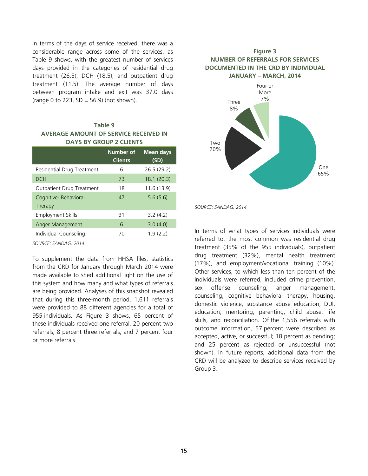In terms of the days of service received, there was a considerable range across some of the services, as Table 9 shows, with the greatest number of services days provided in the categories of residential drug treatment (26.5), DCH (18.5), and outpatient drug treatment (11.5). The average number of days between program intake and exit was 37.0 days (range 0 to 223,  $SD = 56.9$ ) (not shown).

# **Table 9 AVERAGE AMOUNT OF SERVICE RECEIVED IN DAYS BY GROUP 2 CLIENTS**

|                            | Number of<br><b>Clients</b> | <b>Mean days</b><br>(SD) |
|----------------------------|-----------------------------|--------------------------|
| Residential Drug Treatment | 6                           | 26.5(29.2)               |
| <b>DCH</b>                 | 73                          | 18.1(20.3)               |
| Outpatient Drug Treatment  | 18                          | 11.6(13.9)               |
| Cognitive- Behavioral      | 47                          | 5.6(5.6)                 |
| Therapy                    |                             |                          |
| Employment Skills          | 31                          | 3.2(4.2)                 |
| Anger Management           | 6                           | 3.0(4.0)                 |
| Individual Counseling      | 70                          | 1.9(2.2)                 |

*SOURCE: SANDAG, 2014*

To supplement the data from HHSA files, statistics from the CRD for January through March 2014 were made available to shed additional light on the use of this system and how many and what types of referrals are being provided. Analyses of this snapshot revealed that during this three-month period, 1,611 referrals were provided to 88 different agencies for a total of 955 individuals. As Figure 3 shows, 65 percent of these individuals received one referral, 20 percent two referrals, 8 percent three referrals, and 7 percent four or more referrals.

# **Figure 3 NUMBER OF REFERRALS FOR SERVICES DOCUMENTED IN THE CRD BY INDIVIDUAL JANUARY – MARCH, 2014**



*SOURCE: SANDAG, 2014*

In terms of what types of services individuals were referred to, the most common was residential drug treatment (35% of the 955 individuals), outpatient drug treatment (32%), mental health treatment (17%), and employment/vocational training (10%). Other services, to which less than ten percent of the individuals were referred, included crime prevention, sex offense counseling, anger management, counseling, cognitive behavioral therapy, housing, domestic violence, substance abuse education, DUI, education, mentoring, parenting, child abuse, life skills, and reconciliation. Of the 1,556 referrals with outcome information, 57 percent were described as accepted, active, or successful; 18 percent as pending; and 25 percent as rejected or unsuccessful (not shown). In future reports, additional data from the CRD will be analyzed to describe services received by Group 3.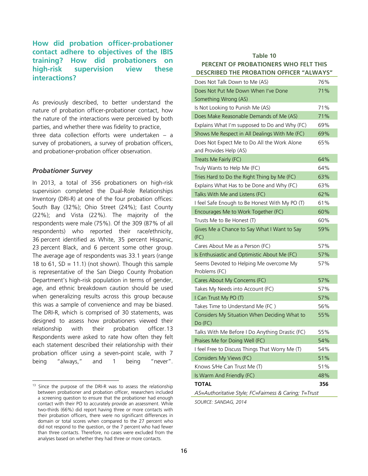# **How did probation officer-probationer contact adhere to objectives of the IBIS training? How did probationers on high-risk supervision view these interactions?**

As previously described, to better understand the nature of probation officer-probationer contact, how the nature of the interactions were perceived by both parties, and whether there was fidelity to practice, three data collection efforts were undertaken – a survey of probationers, a survey of probation officers, and probationer-probation officer observation.

### *Probationer Survey*

Ĩ

In 2013, a total of 356 probationers on high-risk supervision completed the Dual-Role Relationships Inventory (DRI-R) at one of the four probation offices: South Bay (32%); Ohio Street (24%); East County (22%); and Vista (22%). The majority of the respondents were male (75%). Of the 309 (87% of all respondents) who reported their race/ethnicity, 36 percent identified as White, 35 percent Hispanic, 23 percent Black, and 6 percent some other group. The average age of respondents was 33.1 years (range 18 to 61,  $SD = 11.1$ ) (not shown). Though this sample is representative of the San Diego County Probation Department's high-risk population in terms of gender, age, and ethnic breakdown caution should be used when generalizing results across this group because this was a sample of convenience and may be biased. The DRI-R, which is comprised of 30 statements, was designed to assess how probationers viewed their relationship with their probation officer.[13](#page-15-0) Respondents were asked to rate how often they felt each statement described their relationship with their probation officer using a seven-point scale, with 7 being "always," and 1 being "never".

### **Table 10 PERCENT OF PROBATIONERS WHO FELT THIS DESCRIBED THE PROBATION OFFICER "ALWAYS"**

| Does Not Talk Down to Me (AS)                         | 76% |
|-------------------------------------------------------|-----|
| Does Not Put Me Down When I've Done                   | 71% |
| Something Wrong (AS)                                  |     |
| Is Not Looking to Punish Me (AS)                      | 71% |
| Does Make Reasonable Demands of Me (AS)               | 71% |
| Explains What I'm supposed to Do and Why (FC)         | 69% |
| Shows Me Respect in All Dealings With Me (FC)         | 69% |
| Does Not Expect Me to Do All the Work Alone           | 65% |
| and Provides Help (AS)                                |     |
| Treats Me Fairly (FC)                                 | 64% |
| Truly Wants to Help Me (FC)                           | 64% |
| Tries Hard to Do the Right Thing by Me (FC)           | 63% |
| Explains What Has to be Done and Why (FC)             | 63% |
| Talks With Me and Listens (FC)                        | 62% |
| I feel Safe Enough to Be Honest With My PO (T)        | 61% |
| Encourages Me to Work Together (FC)                   | 60% |
| Trusts Me to Be Honest (T)                            | 60% |
| Gives Me a Chance to Say What I Want to Say           | 59% |
| (FC)                                                  |     |
| Cares About Me as a Person (FC)                       | 57% |
| Is Enthusiastic and Optimistic About Me (FC)          | 57% |
| Seems Devoted to Helping Me overcome My               | 57% |
| Problems (FC)                                         |     |
| Cares About My Concerns (FC)                          | 57% |
| Takes My Needs into Account (FC)                      | 57% |
| I Can Trust My PO (T)                                 | 57% |
| Takes Time to Understand Me (FC)                      | 56% |
| Considers My Situation When Deciding What to          | 55% |
| Do (FC)                                               |     |
| Talks With Me Before I Do Anything Drastic (FC)       | 55% |
| Praises Me for Doing Well (FC)                        | 54% |
| I feel Free to Discuss Things That Worry Me (T)       | 54% |
| Considers My Views (FC)                               | 51% |
| Knows S/He Can Trust Me (T)                           | 51% |
| Is Warm And Friendly (FC)                             | 48% |
| <b>TOTAL</b>                                          | 356 |
| AS=Authoritative Style; FC=Fairness & Caring; T=Trust |     |

*SOURCE: SANDAG, 2014*

<span id="page-15-0"></span><sup>&</sup>lt;sup>13</sup> Since the purpose of the DRI-R was to assess the relationship between probationer and probation officer, researchers included a screening question to ensure that the probationer had enough contact with their PO to accurately provide an assessment. While two-thirds (66%) did report having three or more contacts with their probation officers, there were no significant differences in domain or total scores when compared to the 27 percent who did not respond to the question, or the 7 percent who had fewer than three contacts. Therefore, no cases were excluded from the analyses based on whether they had three or more contacts.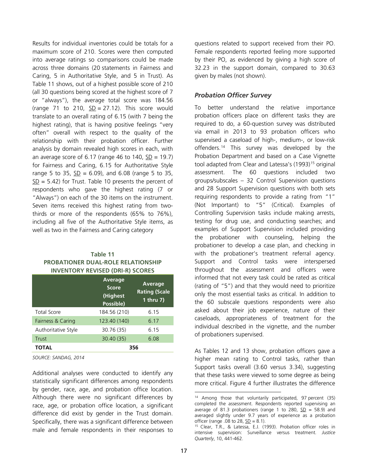Results for individual inventories could be totals for a maximum score of 210. Scores were then computed into average ratings so comparisons could be made across three domains (20 statements in Fairness and Caring, 5 in Authoritative Style, and 5 in Trust). As Table 11 shows, out of a highest possible score of 210 (all 30 questions being scored at the highest score of 7 or "always"), the average total score was 184.56 (range 71 to 210,  $SD = 27.12$ ). This score would translate to an overall rating of 6.15 (with 7 being the highest rating), that is having positive feelings "very often" overall with respect to the quality of the relationship with their probation officer. Further analysis by domain revealed high scores in each, with an average score of 6.17 (range 46 to 140,  $SD = 19.7$ ) for Fairness and Caring, 6.15 for Authoritative Style range 5 to 35,  $SD = 6.09$ ), and 6.08 (range 5 to 35,  $SD = 5.42$ ) for Trust. Table 10 presents the percent of respondents who gave the highest rating (7 or "Always") on each of the 30 items on the instrument. Seven items received this highest rating from twothirds or more of the respondents (65% to 76%), including all five of the Authoritative Style items, as well as two in the Fairness and Caring category

| Table 11                                  |
|-------------------------------------------|
| <b>PROBATIONER DUAL-ROLE RELATIONSHIP</b> |
| <b>INVENTORY REVISED (DRI-R) SCORES</b>   |

|                     | <b>Average</b><br><b>Score</b><br>(Highest<br>Possible) | Average<br><b>Rating (Scale</b><br>1 thru 7) |
|---------------------|---------------------------------------------------------|----------------------------------------------|
| <b>Total Score</b>  | 184.56 (210)                                            | 6.15                                         |
| Fairness & Caring   | 123.40 (140)                                            | 6.17                                         |
| Authoritative Style | 30.76 (35)                                              | 6.15                                         |
| Trust               | 30.40 (35)                                              | 6.08                                         |
| <b>TOTAL</b>        |                                                         | 356                                          |

*SOURCE: SANDAG, 2014*

<span id="page-16-1"></span><span id="page-16-0"></span>Additional analyses were conducted to identify any statistically significant differences among respondents by gender, race, age, and probation office location. Although there were no significant differences by race, age, or probation office location, a significant difference did exist by gender in the Trust domain. Specifically, there was a significant difference between male and female respondents in their responses to questions related to support received from their PO. Female respondents reported feeling more supported by their PO, as evidenced by giving a high score of 32.23 in the support domain, compared to 30.63 given by males (not shown).

# *Probation Officer Survey*

To better understand the relative importance probation officers place on different tasks they are required to do, a 60-question survey was distributed via email in 2013 to 93 probation officers who supervised a caseload of high-, medium-, or low-risk offenders. [14](#page-16-0) This survey was developed by the Probation Department and based on a Case Vignette tool adapted from Clear and Latessa's (1993)<sup>[15](#page-16-1)</sup> original assessment. The 60 questions included two groups/subscales – 32 Control Supervision questions and 28 Support Supervision questions with both sets requiring respondents to provide a rating from "1" (Not Important) to "5" (Critical). Examples of Controlling Supervision tasks include making arrests, testing for drug use, and conducting searches; and examples of Support Supervision included providing the probationer with counseling, helping the probationer to develop a case plan, and checking in with the probationer's treatment referral agency. Support and Control tasks were interspersed throughout the assessment and officers were informed that not every task could be rated as critical (rating of "5") and that they would need to prioritize only the most essential tasks as critical. In addition to the 60 subscale questions respondents were also asked about their job experience, nature of their caseloads, appropriateness of treatment for the individual described in the vignette, and the number of probationers supervised.

As Tables 12 and 13 show, probation officers gave a higher mean rating to Control tasks, rather than Support tasks overall (3.60 versus 3.34), suggesting that these tasks were viewed to some degree as being more critical. Figure 4 further illustrates the difference

Ĩ <sup>14</sup> Among those that voluntarily participated, 97 percent (35) completed the assessment. Respondents reported supervising an average of 81.3 probationers (range 1 to 280,  $SD = 58.9$ ) and averaged slightly under 9.7 years of experience as a probation officer (range .08 to 28,  $\Sigma$ D = 8.1).

 $15$  Clear, T.R., & Latessa, E.J. (1993). Probation officer roles in intensive supervision: Surveillance versus treatment. *Justice Quarterly*, 10, 441-462.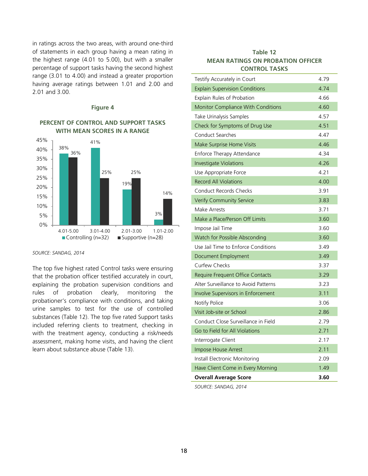in ratings across the two areas, with around one-third of statements in each group having a mean rating in the highest range (4.01 to 5.00), but with a smaller percentage of support tasks having the second highest range (3.01 to 4.00) and instead a greater proportion having average ratings between 1.01 and 2.00 and 2.01 and 3.00.

### **Figure 4**

### **PERCENT OF CONTROL AND SUPPORT TASKS WITH MEAN SCORES IN A RANGE**



### *SOURCE: SANDAG, 2014*

The top five highest rated Control tasks were ensuring that the probation officer testified accurately in court, explaining the probation supervision conditions and rules of probation clearly, monitoring the probationer's compliance with conditions, and taking urine samples to test for the use of controlled substances (Table 12). The top five rated Support tasks included referring clients to treatment, checking in with the treatment agency, conducting a risk/needs assessment, making home visits, and having the client learn about substance abuse (Table 13).

# **Table 12 MEAN RATINGS ON PROBATION OFFICER CONTROL TASKS**

| Testify Accurately in Court           | 4.79 |
|---------------------------------------|------|
| <b>Explain Supervision Conditions</b> | 4.74 |
| Explain Rules of Probation            | 4.66 |
| Monitor Compliance With Conditions    | 4.60 |
| Take Urinalysis Samples               | 4.57 |
| Check for Symptoms of Drug Use        | 4.51 |
| <b>Conduct Searches</b>               | 4.47 |
| Make Surprise Home Visits             | 4.46 |
| Enforce Therapy Attendance            | 4.34 |
| <b>Investigate Violations</b>         | 4.26 |
| Use Appropriate Force                 | 4.21 |
| <b>Record All Violations</b>          | 4.00 |
| <b>Conduct Records Checks</b>         | 3.91 |
| <b>Verify Community Service</b>       | 3.83 |
| Make Arrests                          | 3.71 |
| Make a Place/Person Off Limits        | 3.60 |
| Impose Jail Time                      | 3.60 |
| Watch for Possible Absconding         | 3.60 |
| Use Jail Time to Enforce Conditions   | 3.49 |
| Document Employment                   | 3.49 |
| <b>Curfew Checks</b>                  | 3.37 |
| Require Frequent Office Contacts      | 3.29 |
| Alter Surveillance to Avoid Patterns  | 3.23 |
| Involve Supervisors in Enforcement    | 3.11 |
| Notify Police                         | 3.06 |
| Visit Job-site or School              | 2.86 |
| Conduct Close Surveillance in Field   | 2.79 |
| Go to Field for All Violations        | 2.71 |
| Interrogate Client                    | 2.17 |
| Impose House Arrest                   | 2.11 |
| Install Electronic Monitoring         | 2.09 |
| Have Client Come in Every Morning     | 1.49 |
| <b>Overall Average Score</b>          | 3.60 |

*SOURCE: SANDAG, 2014*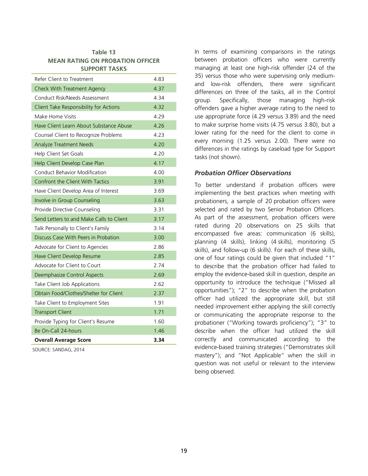### **Table 13 MEAN RATING ON PROBATION OFFICER SUPPORT TASKS**

| Refer Client to Treatment                | 4.83  |
|------------------------------------------|-------|
| Check With Treatment Agency              | 4.37  |
| Conduct Risk/Needs Assessment            | 4.34  |
| Client Take Responsibility for Actions   | 4.32  |
| Make Home Visits                         | 4.29  |
| Have Client Learn About Substance Abuse  | 4.26  |
| Counsel Client to Recognize Problems     | 4 2 3 |
| <b>Analyze Treatment Needs</b>           | 4.20  |
| Help Client Set Goals                    | 4.20  |
| Help Client Develop Case Plan            | 4.17  |
| <b>Conduct Behavior Modification</b>     | 4.00  |
| Confront the Client With Tactics         | 3.91  |
| Have Client Develop Area of Interest     | 3.69  |
| Involve in Group Counseling              | 3.63  |
| Provide Directive Counseling             | 3.31  |
| Send Letters to and Make Calls to Client | 3.17  |
| Talk Personally to Client's Family       | 3.14  |
| Discuss Case With Peers in Probation     | 3.00  |
| Advocate for Client to Agencies          | 2.86  |
| Have Client Develop Resume               | 2.85  |
| Advocate for Client to Court             | 2.74  |
| <b>Deemphasize Control Aspects</b>       | 2.69  |
| Take Client Job Applications             | 2.62  |
| Obtain Food/Clothes/Shelter for Client   | 2.37  |
| Take Client to Employment Sites          | 1.91  |
| <b>Transport Client</b>                  | 1.71  |
| Provide Typing for Client's Resume       | 1.60  |
| Be On-Call 24-hours                      | 1.46  |
| <b>Overall Average Score</b>             | 3.34  |
|                                          |       |

SOURCE: SANDAG, 2014

In terms of examining comparisons in the ratings between probation officers who were currently managing at least one high-risk offender (24 of the 35) versus those who were supervising only mediumand low-risk offenders, there were significant differences on three of the tasks, all in the Control group. Specifically, those managing high-risk offenders gave a higher average rating to the need to use appropriate force (4.29 versus 3.89) and the need to make surprise home visits (4.75 versus 3.80), but a lower rating for the need for the client to come in every morning (1.25 versus 2.00). There were no differences in the ratings by caseload type for Support tasks (not shown).

# *Probation Officer Observations*

To better understand if probation officers were implementing the best practices when meeting with probationers, a sample of 20 probation officers were selected and rated by two Senior Probation Officers. As part of the assessment, probation officers were rated during 20 observations on 25 skills that encompassed five areas: communication (6 skills), planning (4 skills), linking (4 skills), monitoring (5 skills), and follow-up (6 skills). For each of these skills, one of four ratings could be given that included "1" to describe that the probation officer had failed to employ the evidence-based skill in question, despite an opportunity to introduce the technique ("Missed all opportunities"); "2" to describe when the probation officer had utilized the appropriate skill, but still needed improvement either applying the skill correctly or communicating the appropriate response to the probationer ("Working towards proficiency"); "3" to describe when the officer had utilized the skill correctly and communicated according to the evidence-based training strategies ("Demonstrates skill mastery"); and "Not Applicable" when the skill in question was not useful or relevant to the interview being observed.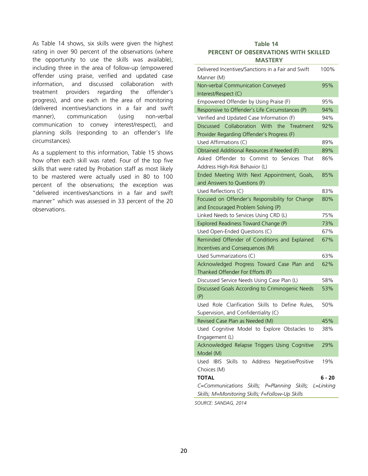As Table 14 shows, six skills were given the highest rating in over 90 percent of the observations (where the opportunity to use the skills was available), including three in the area of follow-up (empowered offender using praise, verified and updated case information, and discussed collaboration with treatment providers regarding the offender's progress), and one each in the area of monitoring (delivered incentives/sanctions in a fair and swift manner), communication (using non-verbal communication to convey interest/respect), and planning skills (responding to an offender's life circumstances).

As a supplement to this information, Table 15 shows how often each skill was rated. Four of the top five skills that were rated by Probation staff as most likely to be mastered were actually used in 80 to 100 percent of the observations; the exception was "delivered incentives/sanctions in a fair and swift manner" which was assessed in 33 percent of the 20 observations.

# **Table 14 PERCENT OF OBSERVATIONS WITH SKILLED MASTERY**

| Delivered Incentives/Sanctions in a Fair and Swift<br>Manner (M)                           | 100%     |
|--------------------------------------------------------------------------------------------|----------|
| Non-verbal Communication Conveyed<br>Interest/Respect (C)                                  | 95%      |
| Empowered Offender by Using Praise (F)                                                     | 95%      |
| Responsive to Offender's Life Circumstances (P)                                            | 94%      |
| Verified and Updated Case Information (F)                                                  | 94%      |
| Discussed Collaboration With<br>the<br>Treatment                                           | 92%      |
| Provider Regarding Offender's Progress (F)                                                 |          |
| Used Affirmations (C)                                                                      | 89%      |
| Obtained Additional Resources if Needed (F)                                                | 89%      |
| Asked Offender to Commit to Services<br>That                                               | 86%      |
| Address High-Risk Behavior (L)                                                             |          |
| Ended Meeting With Next Appointment, Goals,                                                | 85%      |
| and Answers to Questions (F)                                                               |          |
| Used Reflections (C)                                                                       | 83%      |
| Focused on Offender's Responsibility for Change                                            | 80%      |
| and Encouraged Problem Solving (P)                                                         |          |
| Linked Needs to Services Using CRD (L)                                                     | 75%      |
| Explored Readiness Toward Change (P)                                                       | 73%      |
| Used Open-Ended Questions (C)                                                              | 67%      |
| Reminded Offender of Conditions and Explained                                              | 67%      |
| Incentives and Consequences (M)                                                            |          |
| Used Summarizations (C)                                                                    | 63%      |
| Acknowledged Progress Toward Case Plan and<br>Thanked Offender For Efforts (F)             | 62%      |
| Discussed Service Needs Using Case Plan (L)                                                | 58%      |
| Discussed Goals According to Criminogenic Needs                                            | 53%      |
| (P)                                                                                        |          |
| Used Role Clarification Skills to Define<br>Rules,<br>Supervision, and Confidentiality (C) | 50%      |
| Revised Case Plan as Needed (M)                                                            | 45%      |
| Used Cognitive Model to Explore Obstacles to                                               | 38%      |
| Engagement (L)                                                                             |          |
| Acknowledged Relapse Triggers Using Cognitive                                              | 29%      |
| Model (M)                                                                                  |          |
| Skills to Address<br>Negative/Positive<br>Used<br><b>IBIS</b><br>Choices (M)               | 19%      |
| <b>TOTAL</b>                                                                               | $6 - 20$ |
| C=Communications Skills; P=Planning Skills; L=Linking                                      |          |
| Skills; M=Monitoring Skills; F=Follow-Up Skills                                            |          |
|                                                                                            |          |

*SOURCE: SANDAG, 2014*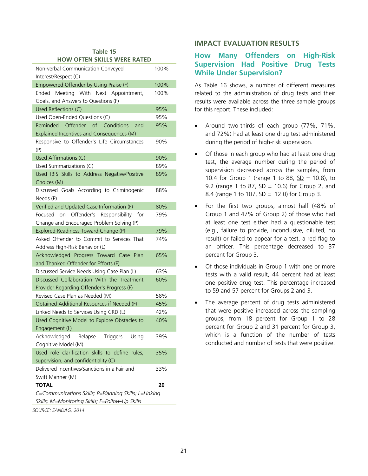| Table 15 |                             |  |  |  |
|----------|-----------------------------|--|--|--|
|          | HOW OFTEN SKILLS WERE RATED |  |  |  |

| Non-verbal Communication Conveyed<br>Interest/Respect (C)                                                | 100% |
|----------------------------------------------------------------------------------------------------------|------|
| Empowered Offender by Using Praise (F)                                                                   | 100% |
| Meeting With<br>Ended<br>Next Appointment,<br>Goals, and Answers to Questions (F)                        | 100% |
| Used Reflections (C)                                                                                     | 95%  |
| Used Open-Ended Questions (C)                                                                            | 95%  |
| Reminded Offender of Conditions<br>and<br>Explained Incentives and Consequences (M)                      | 95%  |
| Responsive to Offender's Life Circumstances<br>(P)                                                       | 90%  |
| Used Affirmations (C)                                                                                    | 90%  |
| Used Summarizations (C)                                                                                  | 89%  |
| Used IBIS Skills to Address Negative/Positive<br>Choices (M)                                             | 89%  |
| Discussed Goals According to Criminogenic<br>Needs (P)                                                   | 88%  |
| Verified and Updated Case Information (F)                                                                | 80%  |
| on Offender's Responsibility for<br>Focused<br>Change and Encouraged Problem Solving (P)                 | 79%  |
| Explored Readiness Toward Change (P)                                                                     | 79%  |
| Asked Offender to Commit to Services That<br>Address High-Risk Behavior (L)                              | 74%  |
| Acknowledged Progress Toward Case Plan<br>and Thanked Offender for Efforts (F)                           | 65%  |
| Discussed Service Needs Using Case Plan (L)                                                              | 63%  |
| Discussed Collaboration With the Treatment<br>Provider Regarding Offender's Progress (F)                 | 60%  |
| Revised Case Plan as Needed (M)                                                                          | 58%  |
| Obtained Additional Resources if Needed (F)                                                              | 45%  |
| Linked Needs to Services Using CRD (L)                                                                   | 42%  |
| Used Cognitive Model to Explore Obstacles to<br>Engagement (L)                                           | 40%  |
| Acknowledged<br>Triggers<br>Using<br>Relapse<br>Cognitive Model (M)                                      | 39%  |
| Used role clarification skills to define rules,<br>supervision, and confidentiality (C)                  | 35%  |
| Delivered incentives/Sanctions in a Fair and<br>Swift Manner (M)                                         | 33%  |
| <b>TOTAL</b>                                                                                             | 20   |
| C=Communications Skills; P=Planning Skills; L=Linking<br>Skills; M=Monitoring Skills; F=Follow-Up Skills |      |

*SOURCE: SANDAG, 2014*

# **IMPACT EVALUATION RESULTS**

# **How Many Offenders on High-Risk Supervision Had Positive Drug Tests While Under Supervision?**

As Table 16 shows, a number of different measures related to the administration of drug tests and their results were available across the three sample groups for this report. These included:

- Around two-thirds of each group (77%, 71%, and 72%) had at least one drug test administered during the period of high-risk supervision.
- Of those in each group who had at least one drug test, the average number during the period of supervision decreased across the samples, from 10.4 for Group 1 (range 1 to 88,  $SD = 10.8$ ), to 9.2 (range 1 to 87,  $SD = 10.6$ ) for Group 2, and 8.4 (range 1 to 107,  $SD = 12.0$ ) for Group 3.
- For the first two groups, almost half (48% of Group 1 and 47% of Group 2) of those who had at least one test either had a questionable test (e.g., failure to provide, inconclusive, diluted, no result) or failed to appear for a test, a red flag to an officer. This percentage decreased to 37 percent for Group 3.
- Of those individuals in Group 1 with one or more tests with a valid result, 44 percent had at least one positive drug test. This percentage increased to 59 and 57 percent for Groups 2 and 3.
- The average percent of drug tests administered that were positive increased across the sampling groups, from 18 percent for Group 1 to 28 percent for Group 2 and 31 percent for Group 3, which is a function of the number of tests conducted and number of tests that were positive.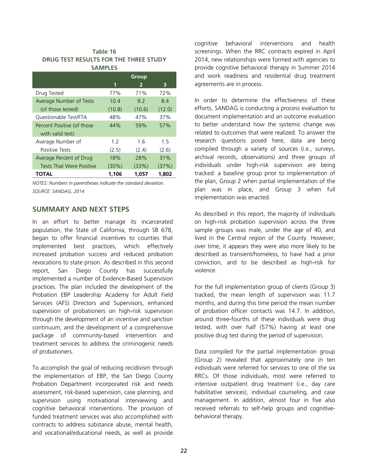| Table 16                              |  |  |
|---------------------------------------|--|--|
| DRUG TEST RESULTS FOR THE THREE STUDY |  |  |
| <b>SAMPLES</b>                        |  |  |

|                                 |          | Group  |        |
|---------------------------------|----------|--------|--------|
|                                 | 1        | 2      | 3      |
| Drug Tested                     | 77%      | 71%    | 72%    |
| Average Number of Tests         | 10.4     | 9.2    | 84     |
| (of those tested)               | (10.8)   | (10.6) | (12.0) |
| Questionable Test/FTA           | 48%      | 47%    | 37%    |
| Percent Positive (of those      | 44%      | 59%    | 57%    |
| with valid test)                |          |        |        |
| Average Number of               | 12       | 16     | 1.5    |
| <b>Positive Tests</b>           | (2.5)    | (2.4)  | (2.6)  |
| Average Percent of Drug         | 18%      | 28%    | 31%    |
| <b>Tests That Were Positive</b> | $(30\%)$ | (33%)  | (37%)  |
| TOTAL                           | 1,106    | 1,057  | 1,802  |

*NOTES: Numbers in parentheses indicate the standard deviation. SOURCE: SANDAG, 2014*

# **SUMMARY AND NEXT STEPS**

In an effort to better manage its incarcerated population, the State of California, through SB 678, began to offer financial incentives to counties that implemented best practices, which effectively increased probation success and reduced probation revocations to state prison. As described in this second report, San Diego County has successfully implemented a number of Evidence-Based Supervision practices. The plan included the development of the Probation EBP Leadership Academy for Adult Field Services (AFS) Directors and Supervisors, enhanced supervision of probationers on high-risk supervision through the development of an incentive and sanction continuum, and the development of a comprehensive package of community-based intervention and treatment services to address the criminogenic needs of probationers.

To accomplish the goal of reducing recidivism through the implementation of EBP, the San Diego County Probation Department incorporated risk and needs assessment, risk-based supervision, case planning, and supervision using motivational interviewing and cognitive behavioral interventions. The provision of funded treatment services was also accomplished with contracts to address substance abuse, mental health, and vocational/educational needs, as well as provide

cognitive behavioral interventions and health screenings. When the RRC contracts expired in April 2014, new relationships were formed with agencies to provide cognitive behavioral therapy in Summer 2014 and work readiness and residential drug treatment agreements are in process.

In order to determine the effectiveness of these efforts, SANDAG is conducting a process evaluation to document implementation and an outcome evaluation to better understand how the systemic change was related to outcomes that were realized. To answer the research questions posed here, data are being compiled through a variety of sources (i.e., surveys, archival records, observations) and three groups of individuals under high-risk supervision are being tracked: a baseline group prior to implementation of the plan, Group 2 when partial implementation of the plan was in place, and Group 3 when full implementation was enacted.

As described in this report, the majority of individuals on high-risk probation supervision across the three sample groups was male, under the age of 40, and lived in the Central region of the County. However, over time, it appears they were also more likely to be described as transient/homeless, to have had a prior conviction, and to be described as high-risk for violence.

For the full implementation group of clients (Group 3) tracked, the mean length of supervision was 11.7 months, and during this time period the mean number of probation officer contacts was 14.7. In addition, around three-fourths of these individuals were drug tested, with over half (57%) having at least one positive drug test during the period of supervision.

Data compiled for the partial implementation group (Group 2) revealed that approximately one in ten individuals were referred for services to one of the six RRCs. Of those individuals, most were referred to intensive outpatient drug treatment (i.e., day care habilitative services), individual counseling, and case management. In addition, almost four in five also received referrals to self-help groups and cognitivebehavioral therapy.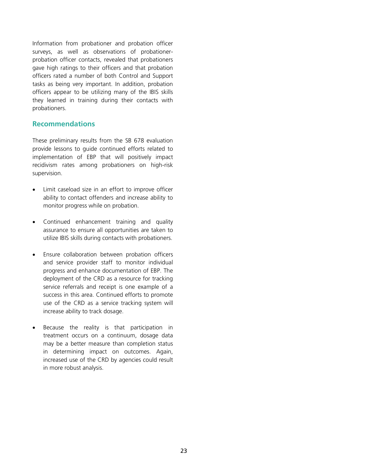Information from probationer and probation officer surveys, as well as observations of probationerprobation officer contacts, revealed that probationers gave high ratings to their officers and that probation officers rated a number of both Control and Support tasks as being very important. In addition, probation officers appear to be utilizing many of the IBIS skills they learned in training during their contacts with probationers.

# **Recommendations**

These preliminary results from the SB 678 evaluation provide lessons to guide continued efforts related to implementation of EBP that will positively impact recidivism rates among probationers on high-risk supervision.

- Limit caseload size in an effort to improve officer ability to contact offenders and increase ability to monitor progress while on probation.
- Continued enhancement training and quality assurance to ensure all opportunities are taken to utilize IBIS skills during contacts with probationers.
- Ensure collaboration between probation officers and service provider staff to monitor individual progress and enhance documentation of EBP. The deployment of the CRD as a resource for tracking service referrals and receipt is one example of a success in this area. Continued efforts to promote use of the CRD as a service tracking system will increase ability to track dosage.
- Because the reality is that participation in treatment occurs on a continuum, dosage data may be a better measure than completion status in determining impact on outcomes. Again, increased use of the CRD by agencies could result in more robust analysis.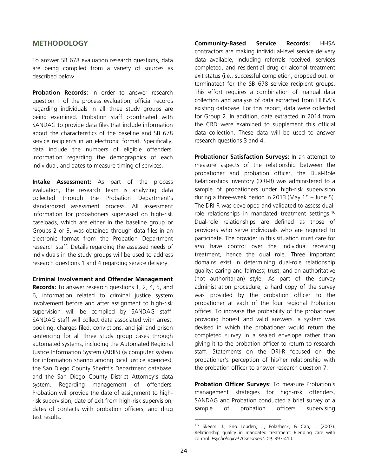# **METHODOLOGY**

To answer SB 678 evaluation research questions, data are being compiled from a variety of sources as described below.

**Probation Records:** In order to answer research question 1 of the process evaluation, official records regarding individuals in all three study groups are being examined. Probation staff coordinated with SANDAG to provide data files that include information about the characteristics of the baseline and SB 678 service recipients in an electronic format. Specifically, data include the numbers of eligible offenders, information regarding the demographics of each individual, and dates to measure timing of services.

**Intake Assessment:** As part of the process evaluation, the research team is analyzing data collected through the Probation Department's standardized assessment process. All assessment information for probationers supervised on high-risk caseloads, which are either in the baseline group or Groups 2 or 3, was obtained through data files in an electronic format from the Probation Department research staff. Details regarding the assessed needs of individuals in the study groups will be used to address research questions 1 and 4 regarding service delivery.

<span id="page-23-0"></span>**Criminal Involvement and Offender Management Records:** To answer research questions 1, 2, 4, 5, and 6, information related to criminal justice system involvement before and after assignment to high-risk supervision will be compiled by SANDAG staff. SANDAG staff will collect data associated with arrest, booking, charges filed, convictions, and jail and prison sentencing for all three study group cases through automated systems, including the Automated Regional Justice Information System (ARJIS) (a computer system for information sharing among local justice agencies), the San Diego County Sheriff's Department database, and the San Diego County District Attorney's data system. Regarding management of offenders, Probation will provide the date of assignment to highrisk supervision, date of exit from high-risk supervision, dates of contacts with probation officers, and drug test results.

**Community-Based Service Records:** HHSA contractors are making individual-level service delivery data available, including referrals received, services completed, and residential drug or alcohol treatment exit status (i.e., successful completion, dropped out, or terminated) for the SB 678 service recipient groups. This effort requires a combination of manual data collection and analysis of data extracted from HHSA's existing database. For this report, data were collected for Group 2. In addition, data extracted in 2014 from the CRD were examined to supplement this official data collection. These data will be used to answer research questions 3 and 4.

**Probationer Satisfaction Surveys:** In an attempt to measure aspects of the relationship between the probationer and probation officer, the Dual-Role Relationships Inventory (DRI-R) was administered to a sample of probationers under high-risk supervision during a three-week period in 2013 (May 15 – June 5). The DRI-R was developed and validated to assess dualrole relationships in mandated treatment settings.[16](#page-23-0) Dual-role relationships are defined as those of providers who serve individuals who are required to participate. The provider in this situation must care for *and* have control over the individual receiving treatment, hence the dual role. Three important domains exist in determining dual-role relationship quality: caring and fairness; trust; and an authoritative (not authoritarian) style. As part of the survey administration procedure, a hard copy of the survey was provided by the probation officer to the probationer at each of the four regional Probation offices. To increase the probability of the probationer providing honest and valid answers, a system was devised in which the probationer would return the completed survey in a sealed envelope rather than giving it to the probation officer to return to research staff. Statements on the DRI-R focused on the probationer's perception of his/her relationship with the probation officer to answer research question 7.

**Probation Officer Surveys**: To measure Probation's management strategies for high-risk offenders, SANDAG and Probation conducted a brief survey of a sample of probation officers supervising

ł

<sup>16</sup> Skeem, J., Eno Louden, J., Polasheck, & Cap, J. (2007). Relationship quality in mandated treatment: Blending care with control. *Psychological Assessment, 19,* 397-410.